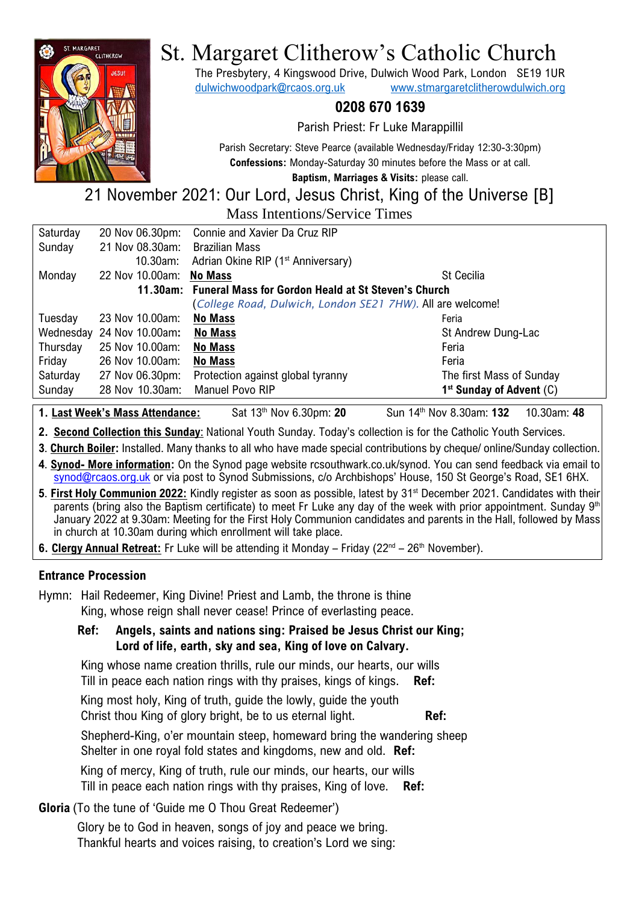

# St. Margaret Clitherow's Catholic Church

The Presbytery, 4 Kingswood Drive, Dulwich Wood Park, London SE19 1UR [dulwichwoodpark@rcaos.org.uk](mailto:dulwichwoodpark@rcaos.org.uk) [www.stmargaretclitherowdulwich.org](http://www.stmargaretclitherowdulwich.org/)

## **0208 670 1639**

Parish Priest: Fr Luke Marappillil

Parish Secretary: Steve Pearce (available Wednesday/Friday 12:30-3:30pm) **Confessions:** Monday-Saturday 30 minutes before the Mass or at call.

**Baptism, Marriages & Visits:** please call.

# 21 November 2021: Our Lord, Jesus Christ, King of the Universe [B] Mass Intentions/Service Times

| Saturday | 20 Nov 06.30pm:           | Connie and Xavier Da Cruz RIP                                |                              |
|----------|---------------------------|--------------------------------------------------------------|------------------------------|
| Sunday   | 21 Nov 08.30am:           | <b>Brazilian Mass</b>                                        |                              |
|          | $10.30$ am:               | Adrian Okine RIP (1 <sup>st</sup> Anniversary)               |                              |
| Monday   | 22 Nov 10.00am:           | <b>No Mass</b>                                               | <b>St Cecilia</b>            |
|          |                           | 11.30am: Funeral Mass for Gordon Heald at St Steven's Church |                              |
|          |                           | (College Road, Dulwich, London SE21 7HW). All are welcome!   |                              |
| Tuesday  | 23 Nov 10.00am:           | <b>No Mass</b>                                               | Feria                        |
|          | Wednesday 24 Nov 10.00am: | <b>No Mass</b>                                               | St Andrew Dung-Lac           |
| Thursday | 25 Nov 10.00am:           | <b>No Mass</b>                                               | Feria                        |
| Friday   | 26 Nov 10.00am:           | <b>No Mass</b>                                               | Feria                        |
| Saturday | 27 Nov 06.30pm:           | Protection against global tyranny                            | The first Mass of Sunday     |
| Sunday   | 28 Nov 10.30am:           | Manuel Povo RIP                                              | $1st$ Sunday of Advent $(C)$ |
|          |                           |                                                              |                              |

- **1. Last Week's Mass Attendance:** Sat 13th Nov 6.30pm: **20** Sun 14th Nov 8.30am: **132** 10.30am: **48**
- **2. Second Collection this Sunday**: National Youth Sunday. Today's collection is for the Catholic Youth Services.
- **3**. **Church Boiler:** Installed. Many thanks to all who have made special contributions by cheque/ online/Sunday collection.
- **4**. **Synod- More information:** On the Synod page website rcsouthwark.co.uk/synod. You can send feedback via email to [synod@rcaos.org.uk](mailto:synod@rcaos.org.uk) or via post to Synod Submissions, c/o Archbishops' House, 150 St George's Road, SE1 6HX.
- **5. First Holy Communion 2022:** Kindly register as soon as possible, latest by 31<sup>st</sup> December 2021. Candidates with their parents (bring also the Baptism certificate) to meet Fr Luke any day of the week with prior appointment. Sunday 9<sup>th</sup> January 2022 at 9.30am: Meeting for the First Holy Communion candidates and parents in the Hall, followed by Mass in church at 10.30am during which enrollment will take place.
- 6. Clergy Annual Retreat: Fr Luke will be attending it Monday Friday (22<sup>nd</sup> 26<sup>th</sup> November).

### **Entrance Procession**

Hymn: Hail Redeemer, King Divine! Priest and Lamb, the throne is thine King, whose reign shall never cease! Prince of everlasting peace.

## **Ref: Angels, saints and nations sing: Praised be Jesus Christ our King; Lord of life, earth, sky and sea, King of love on Calvary.**

King whose name creation thrills, rule our minds, our hearts, our wills Till in peace each nation rings with thy praises, kings of kings. **Ref:**

King most holy, King of truth, guide the lowly, guide the youth Christ thou King of glory bright, be to us eternal light. **Ref:**

Shepherd-King, o'er mountain steep, homeward bring the wandering sheep Shelter in one royal fold states and kingdoms, new and old. **Ref:**

King of mercy, King of truth, rule our minds, our hearts, our wills Till in peace each nation rings with thy praises, King of love. **Ref:**

## **Gloria** (To the tune of 'Guide me O Thou Great Redeemer')

Glory be to God in heaven, songs of joy and peace we bring. Thankful hearts and voices raising, to creation's Lord we sing: